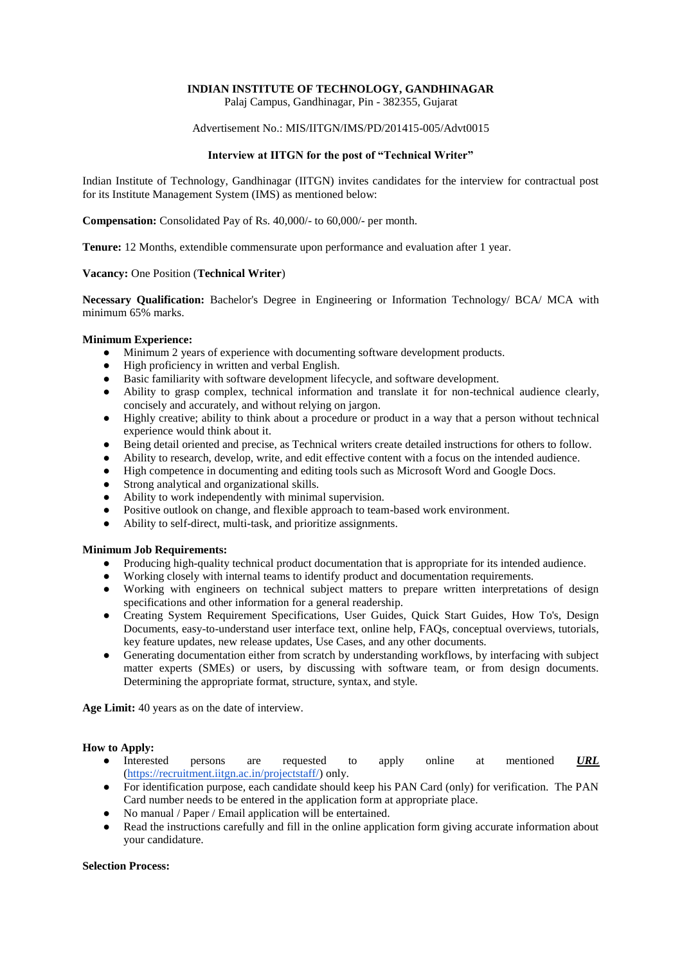# **INDIAN INSTITUTE OF TECHNOLOGY, GANDHINAGAR**

Palaj Campus, Gandhinagar, Pin - 382355, Gujarat

#### Advertisement No.: MIS/IITGN/IMS/PD/201415-005/Advt0015

### **Interview at IITGN for the post of "Technical Writer"**

Indian Institute of Technology, Gandhinagar (IITGN) invites candidates for the interview for contractual post for its Institute Management System (IMS) as mentioned below:

**Compensation:** Consolidated Pay of Rs. 40,000/- to 60,000/- per month.

**Tenure:** 12 Months, extendible commensurate upon performance and evaluation after 1 year.

### **Vacancy:** One Position (**Technical Writer**)

**Necessary Qualification:** Bachelor's Degree in Engineering or Information Technology/ BCA/ MCA with minimum 65% marks.

### **Minimum Experience:**

- Minimum 2 years of experience with documenting software development products.<br>• High proficiency in written and verbal English
- High proficiency in written and verbal English.
- Basic familiarity with software development lifecycle, and software development.
- Ability to grasp complex, technical information and translate it for non-technical audience clearly, concisely and accurately, and without relying on jargon.
- Highly creative; ability to think about a procedure or product in a way that a person without technical experience would think about it.
- Being detail oriented and precise, as Technical writers create detailed instructions for others to follow.
- Ability to research, develop, write, and edit effective content with a focus on the intended audience.
- High competence in documenting and editing tools such as Microsoft Word and Google Docs.
- Strong analytical and organizational skills.
- Ability to work independently with minimal supervision.
- Positive outlook on change, and flexible approach to team-based work environment.
- Ability to self-direct, multi-task, and prioritize assignments.

#### **Minimum Job Requirements:**

- Producing high-quality technical product documentation that is appropriate for its intended audience.
- Working closely with internal teams to identify product and documentation requirements.
- Working with engineers on technical subject matters to prepare written interpretations of design specifications and other information for a general readership.
- Creating System Requirement Specifications, User Guides, Quick Start Guides, How To's, Design Documents, easy-to-understand user interface text, online help, FAQs, conceptual overviews, tutorials, key feature updates, new release updates, Use Cases, and any other documents.
- Generating documentation either from scratch by understanding workflows, by interfacing with subject matter experts (SMEs) or users, by discussing with software team, or from design documents. Determining the appropriate format, structure, syntax, and style.

**Age Limit:** 40 years as on the date of interview.

## **How to Apply:**

- Interested persons are requested to apply online at mentioned *URL* [\(https://recruitment.iitgn.ac.in/projectstaff/\)](https://recruitment.iitgn.ac.in/projectstaff/) only.
- For identification purpose, each candidate should keep his PAN Card (only) for verification. The PAN Card number needs to be entered in the application form at appropriate place.
- No manual / Paper / Email application will be entertained.
- Read the instructions carefully and fill in the online application form giving accurate information about your candidature.

## **Selection Process:**